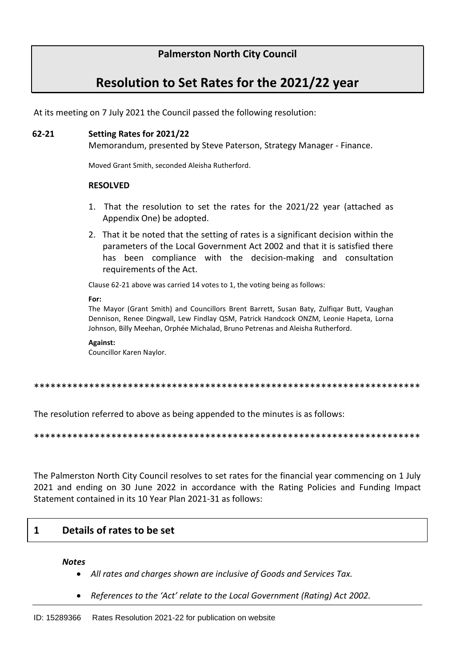### **Palmerston North City Council**

# **Resolution to Set Rates for the 2021/22 year**

At its meeting on 7 July 2021 the Council passed the following resolution:

# **62-21 Setting Rates for 2021/22**

Memorandum, presented by Steve Paterson, Strategy Manager - Finance.

Moved Grant Smith, seconded Aleisha Rutherford.

#### **RESOLVED**

- 1. That the resolution to set the rates for the 2021/22 year (attached as Appendix One) be adopted.
- 2. That it be noted that the setting of rates is a significant decision within the parameters of the Local Government Act 2002 and that it is satisfied there has been compliance with the decision-making and consultation requirements of the Act.

Clause 62-21 above was carried 14 votes to 1, the voting being as follows:

#### **For:**

The Mayor (Grant Smith) and Councillors Brent Barrett, Susan Baty, Zulfiqar Butt, Vaughan Dennison, Renee Dingwall, Lew Findlay QSM, Patrick Handcock ONZM, Leonie Hapeta, Lorna Johnson, Billy Meehan, Orphée Michalad, Bruno Petrenas and Aleisha Rutherford.

#### **Against:**

Councillor Karen Naylor.

\*\*\*\*\*\*\*\*\*\*\*\*\*\*\*\*\*\*\*\*\*\*\*\*\*\*\*\*\*\*\*\*\*\*\*\*\*\*\*\*\*\*\*\*\*\*\*\*\*\*\*\*\*\*\*\*\*\*\*\*\*\*\*\*\*\*\*\*\*\*

The resolution referred to above as being appended to the minutes is as follows:

\*\*\*\*\*\*\*\*\*\*\*\*\*\*\*\*\*\*\*\*\*\*\*\*\*\*\*\*\*\*\*\*\*\*\*\*\*\*\*\*\*\*\*\*\*\*\*\*\*\*\*\*\*\*\*\*\*\*\*\*\*\*\*\*\*\*\*\*\*\*

The Palmerston North City Council resolves to set rates for the financial year commencing on 1 July 2021 and ending on 30 June 2022 in accordance with the Rating Policies and Funding Impact Statement contained in its 10 Year Plan 2021-31 as follows:

#### **1 Details of rates to be set**

#### *Notes*

- *All rates and charges shown are inclusive of Goods and Services Tax.*
- *References to the 'Act' relate to the Local Government (Rating) Act 2002.*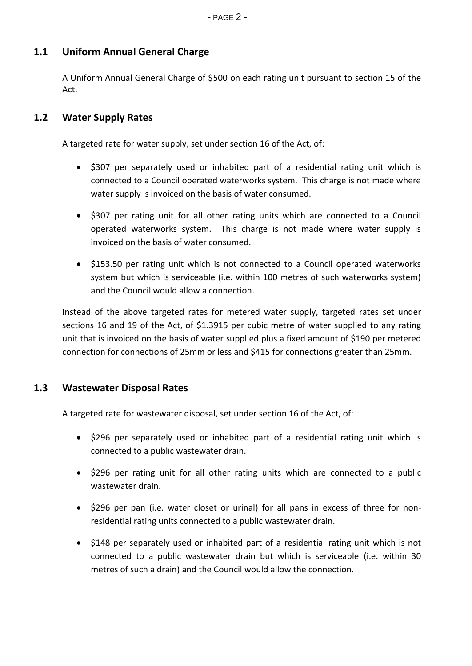## **1.1 Uniform Annual General Charge**

A Uniform Annual General Charge of \$500 on each rating unit pursuant to section 15 of the Act.

### **1.2 Water Supply Rates**

A targeted rate for water supply, set under section 16 of the Act, of:

- \$307 per separately used or inhabited part of a residential rating unit which is connected to a Council operated waterworks system. This charge is not made where water supply is invoiced on the basis of water consumed.
- \$307 per rating unit for all other rating units which are connected to a Council operated waterworks system. This charge is not made where water supply is invoiced on the basis of water consumed.
- \$153.50 per rating unit which is not connected to a Council operated waterworks system but which is serviceable (i.e. within 100 metres of such waterworks system) and the Council would allow a connection.

Instead of the above targeted rates for metered water supply, targeted rates set under sections 16 and 19 of the Act, of \$1.3915 per cubic metre of water supplied to any rating unit that is invoiced on the basis of water supplied plus a fixed amount of \$190 per metered connection for connections of 25mm or less and \$415 for connections greater than 25mm.

#### **1.3 Wastewater Disposal Rates**

A targeted rate for wastewater disposal, set under section 16 of the Act, of:

- \$296 per separately used or inhabited part of a residential rating unit which is connected to a public wastewater drain.
- \$296 per rating unit for all other rating units which are connected to a public wastewater drain.
- \$296 per pan (i.e. water closet or urinal) for all pans in excess of three for nonresidential rating units connected to a public wastewater drain.
- \$148 per separately used or inhabited part of a residential rating unit which is not connected to a public wastewater drain but which is serviceable (i.e. within 30 metres of such a drain) and the Council would allow the connection.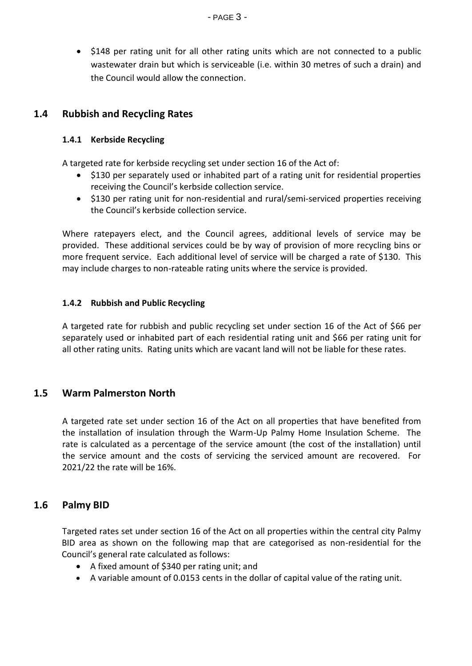• \$148 per rating unit for all other rating units which are not connected to a public wastewater drain but which is serviceable (i.e. within 30 metres of such a drain) and the Council would allow the connection.

### **1.4 Rubbish and Recycling Rates**

#### **1.4.1 Kerbside Recycling**

A targeted rate for kerbside recycling set under section 16 of the Act of:

- \$130 per separately used or inhabited part of a rating unit for residential properties receiving the Council's kerbside collection service.
- \$130 per rating unit for non-residential and rural/semi-serviced properties receiving the Council's kerbside collection service.

Where ratepayers elect, and the Council agrees, additional levels of service may be provided. These additional services could be by way of provision of more recycling bins or more frequent service. Each additional level of service will be charged a rate of \$130. This may include charges to non-rateable rating units where the service is provided.

#### **1.4.2 Rubbish and Public Recycling**

A targeted rate for rubbish and public recycling set under section 16 of the Act of \$66 per separately used or inhabited part of each residential rating unit and \$66 per rating unit for all other rating units. Rating units which are vacant land will not be liable for these rates.

#### **1.5 Warm Palmerston North**

A targeted rate set under section 16 of the Act on all properties that have benefited from the installation of insulation through the Warm-Up Palmy Home Insulation Scheme. The rate is calculated as a percentage of the service amount (the cost of the installation) until the service amount and the costs of servicing the serviced amount are recovered. For 2021/22 the rate will be 16%.

#### **1.6 Palmy BID**

Targeted rates set under section 16 of the Act on all properties within the central city Palmy BID area as shown on the following map that are categorised as non-residential for the Council's general rate calculated as follows:

- A fixed amount of \$340 per rating unit; and
- A variable amount of 0.0153 cents in the dollar of capital value of the rating unit.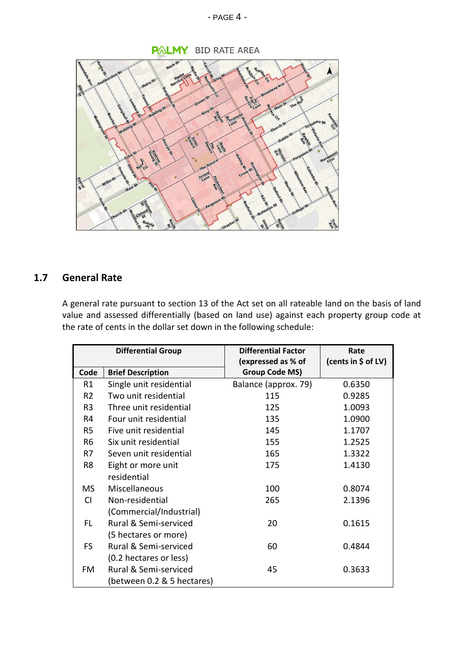#### - PAGE 4 -



# **1.7 General Rate**

A general rate pursuant to section 13 of the Act set on all rateable land on the basis of land value and assessed differentially (based on land use) against each property group code at the rate of cents in the dollar set down in the following schedule:

| <b>Differential Group</b> |                            | <b>Differential Factor</b> | Rate                |
|---------------------------|----------------------------|----------------------------|---------------------|
|                           |                            | (expressed as % of         | (cents in \$ of LV) |
| Code                      | <b>Brief Description</b>   | <b>Group Code MS)</b>      |                     |
| R1                        | Single unit residential    | Balance (approx. 79)       | 0.6350              |
| R <sub>2</sub>            | Two unit residential       | 115                        | 0.9285              |
| R <sub>3</sub>            | Three unit residential     | 125                        | 1.0093              |
| R4                        | Four unit residential      | 135                        | 1.0900              |
| R5                        | Five unit residential      | 145                        | 1.1707              |
| R <sub>6</sub>            | Six unit residential       | 155                        | 1.2525              |
| R7                        | Seven unit residential     | 165                        | 1.3322              |
| R8                        | Eight or more unit         | 175                        | 1.4130              |
|                           | residential                |                            |                     |
| <b>MS</b>                 | Miscellaneous              | 100                        | 0.8074              |
| <b>CI</b>                 | Non-residential            | 265                        | 2.1396              |
|                           | (Commercial/Industrial)    |                            |                     |
| FL.                       | Rural & Semi-serviced      | 20                         | 0.1615              |
|                           | (5 hectares or more)       |                            |                     |
| <b>FS</b>                 | Rural & Semi-serviced      | 60                         | 0.4844              |
|                           | (0.2 hectares or less)     |                            |                     |
| FM                        | Rural & Semi-serviced      | 45                         | 0.3633              |
|                           | (between 0.2 & 5 hectares) |                            |                     |

**PALMY** BID RATE AREA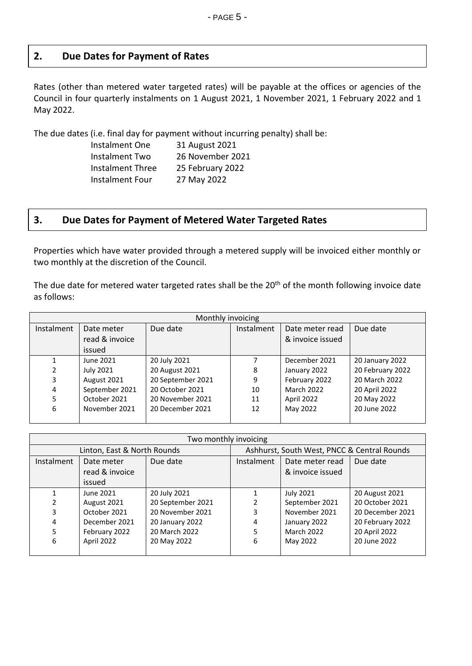### **2. Due Dates for Payment of Rates**

Rates (other than metered water targeted rates) will be payable at the offices or agencies of the Council in four quarterly instalments on 1 August 2021, 1 November 2021, 1 February 2022 and 1 May 2022.

The due dates (i.e. final day for payment without incurring penalty) shall be:

| Instalment One          | 31 August 2021   |
|-------------------------|------------------|
| Instalment Two          | 26 November 2021 |
| <b>Instalment Three</b> | 25 February 2022 |
| <b>Instalment Four</b>  | 27 May 2022      |

### **3. Due Dates for Payment of Metered Water Targeted Rates**

Properties which have water provided through a metered supply will be invoiced either monthly or two monthly at the discretion of the Council.

The due date for metered water targeted rates shall be the 20<sup>th</sup> of the month following invoice date as follows:

| Monthly invoicing |                |                   |            |                   |                  |
|-------------------|----------------|-------------------|------------|-------------------|------------------|
| Instalment        | Date meter     | Due date          | Instalment | Date meter read   | Due date         |
|                   | read & invoice |                   |            | & invoice issued  |                  |
|                   | issued         |                   |            |                   |                  |
|                   | June 2021      | 20 July 2021      |            | December 2021     | 20 January 2022  |
| 2                 | July 2021      | 20 August 2021    | 8          | January 2022      | 20 February 2022 |
| 3                 | August 2021    | 20 September 2021 | 9          | February 2022     | 20 March 2022    |
| 4                 | September 2021 | 20 October 2021   | 10         | <b>March 2022</b> | 20 April 2022    |
| 5                 | October 2021   | 20 November 2021  | 11         | April 2022        | 20 May 2022      |
| 6                 | November 2021  | 20 December 2021  | 12         | May 2022          | 20 June 2022     |
|                   |                |                   |            |                   |                  |

| Two monthly invoicing       |                |                                             |            |                   |                  |
|-----------------------------|----------------|---------------------------------------------|------------|-------------------|------------------|
| Linton, East & North Rounds |                | Ashhurst, South West, PNCC & Central Rounds |            |                   |                  |
| Instalment                  | Date meter     | Due date                                    | Instalment | Date meter read   | Due date         |
|                             | read & invoice |                                             |            | & invoice issued  |                  |
|                             | issued         |                                             |            |                   |                  |
|                             | June 2021      | 20 July 2021                                |            | July 2021         | 20 August 2021   |
| $\mathcal{P}$               | August 2021    | 20 September 2021                           |            | September 2021    | 20 October 2021  |
| 3                           | October 2021   | 20 November 2021                            | 3          | November 2021     | 20 December 2021 |
| 4                           | December 2021  | 20 January 2022                             | 4          | January 2022      | 20 February 2022 |
| 5                           | February 2022  | 20 March 2022                               | 5          | <b>March 2022</b> | 20 April 2022    |
| 6                           | April 2022     | 20 May 2022                                 | 6          | May 2022          | 20 June 2022     |
|                             |                |                                             |            |                   |                  |